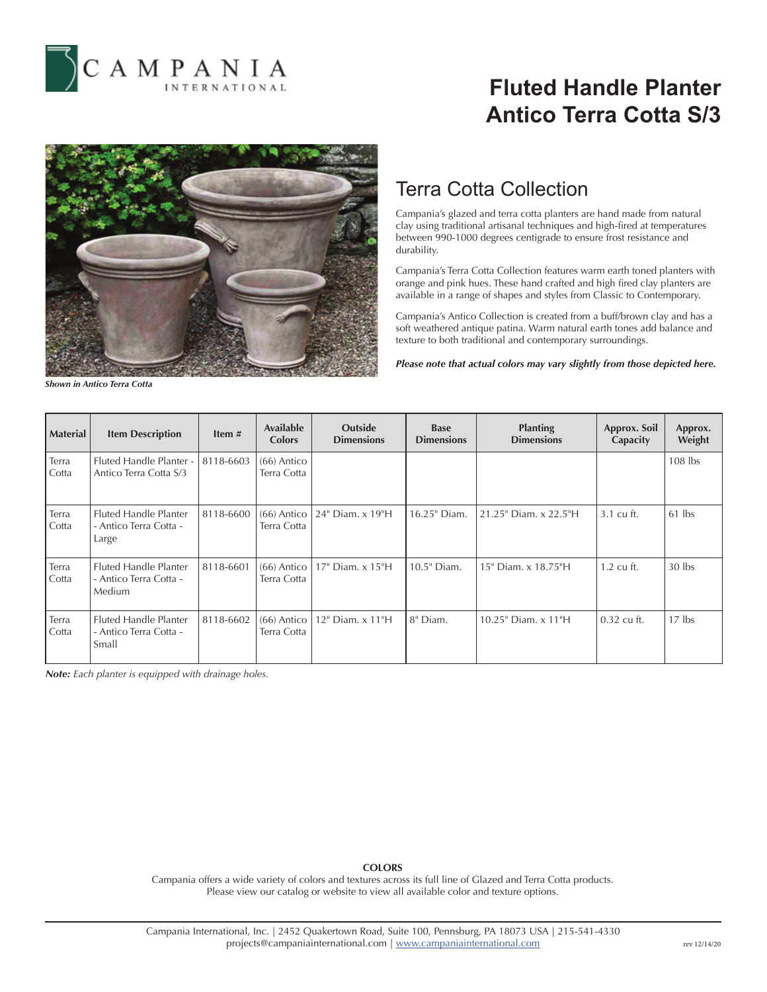

# **Fluted Handle Planter Antico Terra Cotta S/3**



### Terra Cotta Collection

Campania's glazed and terra cotta planters are hand made from natural clay using traditional artisanal techniques and high-fired at temperatures between 990-1000 degrees centigrade to ensure frost resistance and durability.

Campania's Terra Cotta Collection features warm earth toned planters with orange and pink hues. These hand crafted and high fired clay planters are available in a range of shapes and styles from Classic to Contemporary.

Campania's Antico Collection is created from a buff/brown clay and has a soft weathered antique patina. Warm natural earth tones add balance and texture to both traditional and contemporary surroundings.

*Please note that actual colors may vary slightly from those depicted here.*

*Shown in Antico Terra Cotta*

| <b>Material</b> | <b>Item Description</b>                                          | Item#     | Available<br><b>Colors</b>   | <b>Outside</b><br><b>Dimensions</b> | <b>Base</b><br><b>Dimensions</b> | <b>Planting</b><br><b>Dimensions</b> | Approx. Soil<br>Capacity | Approx.<br>Weight |
|-----------------|------------------------------------------------------------------|-----------|------------------------------|-------------------------------------|----------------------------------|--------------------------------------|--------------------------|-------------------|
| Terra<br>Cotta  | Fluted Handle Planter -<br>Antico Terra Cotta S/3                | 8118-6603 | $(66)$ Antico<br>Terra Cotta |                                     |                                  |                                      |                          | $108$ lbs         |
| Terra<br>Cotta  | Fluted Handle Planter<br>- Antico Terra Cotta -<br>Large         | 8118-6600 | $(66)$ Antico<br>Terra Cotta | 24" Diam. x 19"H                    | 16.25" Diam.                     | 21.25" Diam. x 22.5"H                | 3.1 cu ft.               | $61$ lbs          |
| Terra<br>Cotta  | <b>Fluted Handle Planter</b><br>- Antico Terra Cotta -<br>Medium | 8118-6601 | $(66)$ Antico<br>Terra Cotta | 17" Diam. x 15"H                    | 10.5" Diam.                      | 15" Diam. x 18.75"H                  | $1.2 \text{ cu ft.}$     | $30$ lbs          |
| Terra<br>Cotta  | <b>Fluted Handle Planter</b><br>- Antico Terra Cotta -<br>Small  | 8118-6602 | $(66)$ Antico<br>Terra Cotta | 12" Diam. x 11"H                    | 8" Diam.                         | 10.25" Diam. x 11"H                  | 0.32 cu ft.              | $17$ lbs          |

*Note: Each planter is equipped with drainage holes.*

### **COLORS**

Campania offers a wide variety of colors and textures across its full line of Glazed and Terra Cotta products. Please view our catalog or website to view all available color and texture options.